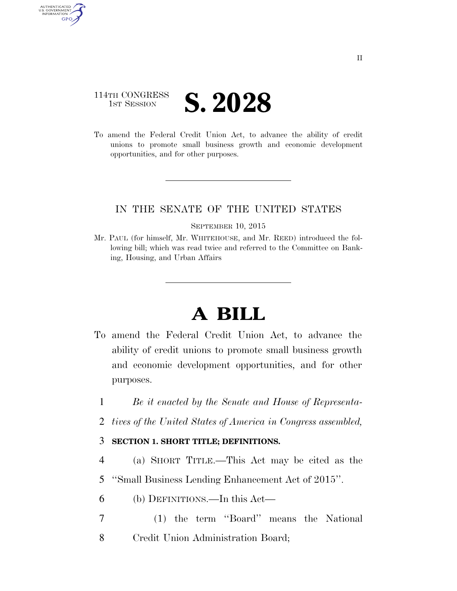## 114TH CONGRESS **IST SESSION S. 2028**

AUTHENTICATED<br>U.S. GOVERNMENT<br>INFORMATION **GPO** 

> To amend the Federal Credit Union Act, to advance the ability of credit unions to promote small business growth and economic development opportunities, and for other purposes.

### IN THE SENATE OF THE UNITED STATES

#### SEPTEMBER 10, 2015

Mr. PAUL (for himself, Mr. WHITEHOUSE, and Mr. REED) introduced the following bill; which was read twice and referred to the Committee on Banking, Housing, and Urban Affairs

# **A BILL**

- To amend the Federal Credit Union Act, to advance the ability of credit unions to promote small business growth and economic development opportunities, and for other purposes.
	- 1 *Be it enacted by the Senate and House of Representa-*
	- 2 *tives of the United States of America in Congress assembled,*

### 3 **SECTION 1. SHORT TITLE; DEFINITIONS.**

- 4 (a) SHORT TITLE.—This Act may be cited as the
- 5 ''Small Business Lending Enhancement Act of 2015''.
- 6 (b) DEFINITIONS.—In this Act—
- 7 (1) the term ''Board'' means the National 8 Credit Union Administration Board;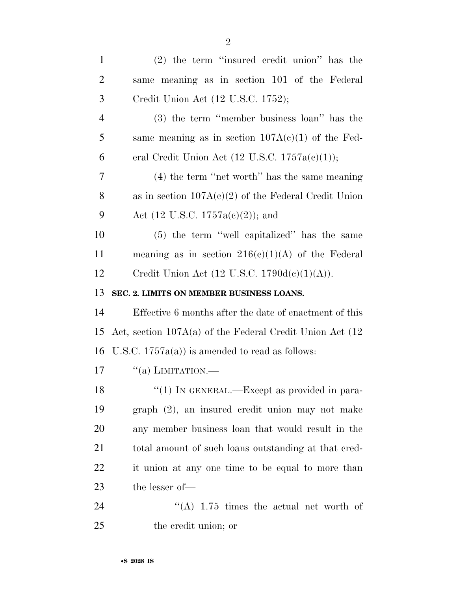| $\mathbf{1}$   | $(2)$ the term "insured credit union" has the               |
|----------------|-------------------------------------------------------------|
| $\overline{2}$ | same meaning as in section 101 of the Federal               |
| 3              | Credit Union Act (12 U.S.C. 1752);                          |
| $\overline{4}$ | $(3)$ the term "member business loan" has the               |
| 5              | same meaning as in section $107A(c)(1)$ of the Fed-         |
| 6              | eral Credit Union Act $(12 \text{ U.S.C. } 1757a(c)(1));$   |
| 7              | $(4)$ the term "net worth" has the same meaning             |
| 8              | as in section $107A(c)(2)$ of the Federal Credit Union      |
| 9              | Act $(12 \text{ U.S.C. } 1757a(c)(2));$ and                 |
| 10             | (5) the term "well capitalized" has the same                |
| 11             | meaning as in section $216(c)(1)(A)$ of the Federal         |
| 12             | Credit Union Act (12 U.S.C. 1790d(c)(1)(A)).                |
| 13             | SEC. 2. LIMITS ON MEMBER BUSINESS LOANS.                    |
| 14             | Effective 6 months after the date of enactment of this      |
| 15             | Act, section $107A(a)$ of the Federal Credit Union Act (12) |
| 16             | U.S.C. $1757a(a)$ is amended to read as follows:            |
| 17             | $``(a)$ LIMITATION.—                                        |
| 18             | $\lq(1)$ In GENERAL.—Except as provided in para-            |
| 19             | graph (2), an insured credit union may not make             |
| 20             | any member business loan that would result in the           |
| 21             | total amount of such loans outstanding at that cred-        |
| 22             | it union at any one time to be equal to more than           |
| 23             | the lesser of-                                              |
| 24             | "(A) $1.75$ times the actual net worth of                   |
| 25             | the credit union; or                                        |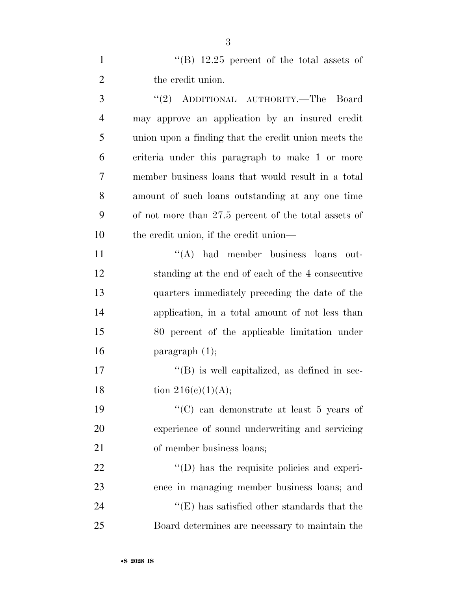1 ''(B) 12.25 percent of the total assets of 2 the credit union.

 ''(2) ADDITIONAL AUTHORITY.—The Board may approve an application by an insured credit union upon a finding that the credit union meets the criteria under this paragraph to make 1 or more member business loans that would result in a total amount of such loans outstanding at any one time of not more than 27.5 percent of the total assets of the credit union, if the credit union—

11 ''(A) had member business loans out- standing at the end of each of the 4 consecutive quarters immediately preceding the date of the application, in a total amount of not less than 80 percent of the applicable limitation under **paragraph**  $(1)$ ;

17  $\langle G \rangle$  is well capitalized, as defined in sec-18 tion  $216(e)(1)(A);$ 

 ''(C) can demonstrate at least 5 years of experience of sound underwriting and servicing of member business loans;

  $(1)$  has the requisite policies and experi- ence in managing member business loans; and  $\langle E \rangle$  has satisfied other standards that the Board determines are necessary to maintain the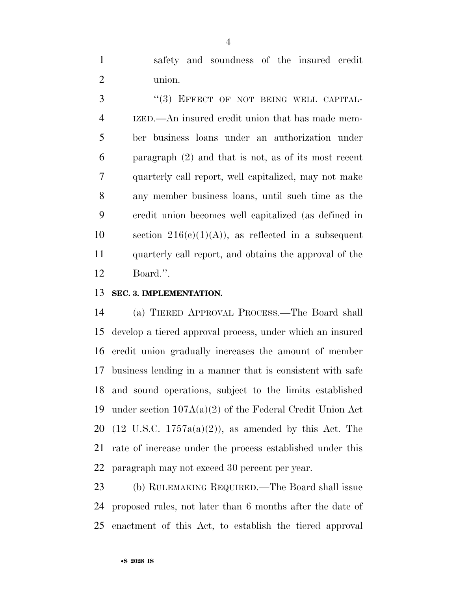safety and soundness of the insured credit union.

3 "(3) EFFECT OF NOT BEING WELL CAPITAL- IZED.—An insured credit union that has made mem- ber business loans under an authorization under paragraph (2) and that is not, as of its most recent quarterly call report, well capitalized, may not make any member business loans, until such time as the credit union becomes well capitalized (as defined in 10 section  $216(c)(1)(A)$ , as reflected in a subsequent quarterly call report, and obtains the approval of the Board.''.

### **SEC. 3. IMPLEMENTATION.**

 (a) TIERED APPROVAL PROCESS.—The Board shall develop a tiered approval process, under which an insured credit union gradually increases the amount of member business lending in a manner that is consistent with safe and sound operations, subject to the limits established under section 107A(a)(2) of the Federal Credit Union Act 20 (12 U.S.C.  $1757a(a)(2)$ ), as amended by this Act. The rate of increase under the process established under this paragraph may not exceed 30 percent per year.

 (b) RULEMAKING REQUIRED.—The Board shall issue proposed rules, not later than 6 months after the date of enactment of this Act, to establish the tiered approval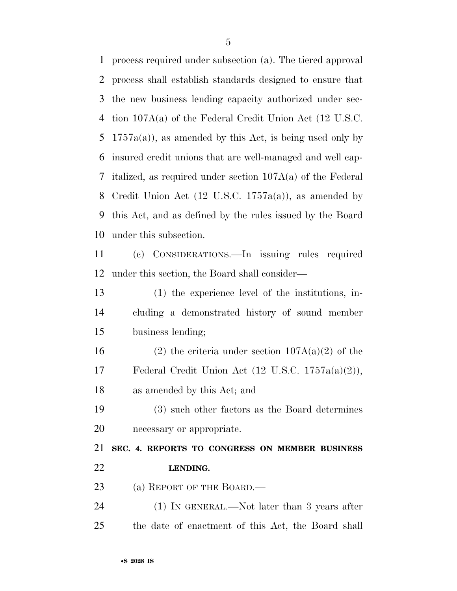process required under subsection (a). The tiered approval process shall establish standards designed to ensure that the new business lending capacity authorized under sec- tion 107A(a) of the Federal Credit Union Act (12 U.S.C. 5 1757a(a)), as amended by this Act, is being used only by insured credit unions that are well-managed and well cap- italized, as required under section 107A(a) of the Federal Credit Union Act (12 U.S.C. 1757a(a)), as amended by this Act, and as defined by the rules issued by the Board under this subsection.

 (c) CONSIDERATIONS.—In issuing rules required under this section, the Board shall consider—

 (1) the experience level of the institutions, in- cluding a demonstrated history of sound member business lending;

16 (2) the criteria under section  $107A(a)(2)$  of the Federal Credit Union Act (12 U.S.C. 1757a(a)(2)), as amended by this Act; and

 (3) such other factors as the Board determines necessary or appropriate.

 **SEC. 4. REPORTS TO CONGRESS ON MEMBER BUSINESS LENDING.** 

23 (a) REPORT OF THE BOARD.—

24 (1) IN GENERAL.—Not later than 3 years after the date of enactment of this Act, the Board shall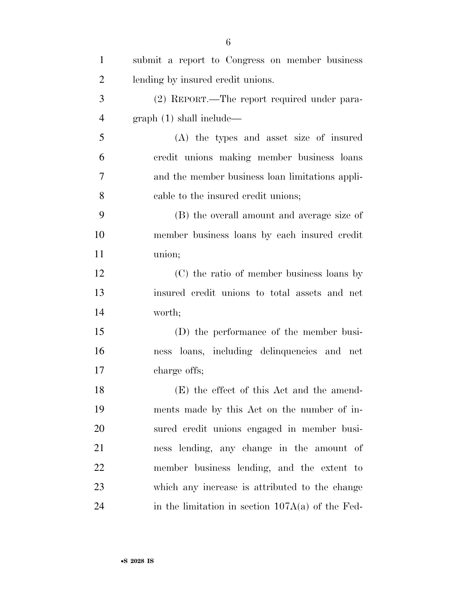| $\mathbf{1}$   | submit a report to Congress on member business     |
|----------------|----------------------------------------------------|
| $\overline{2}$ | lending by insured credit unions.                  |
| 3              | (2) REPORT.—The report required under para-        |
| $\overline{4}$ | graph(1) shall include—                            |
| 5              | (A) the types and asset size of insured            |
| 6              | credit unions making member business loans         |
| $\overline{7}$ | and the member business loan limitations appli-    |
| 8              | cable to the insured credit unions;                |
| 9              | (B) the overall amount and average size of         |
| 10             | member business loans by each insured credit       |
| 11             | union;                                             |
| 12             | (C) the ratio of member business loans by          |
| 13             | insured credit unions to total assets and net      |
| 14             | worth;                                             |
| 15             | (D) the performance of the member busi-            |
| 16             | ness loans, including delinquencies and net        |
| 17             | charge offs;                                       |
| 18             | (E) the effect of this Act and the amend-          |
| 19             | ments made by this Act on the number of in-        |
| 20             | sured credit unions engaged in member busi-        |
| 21             | ness lending, any change in the amount of          |
| 22             | member business lending, and the extent to         |
| 23             | which any increase is attributed to the change     |
| 24             | in the limitation in section $107A(a)$ of the Fed- |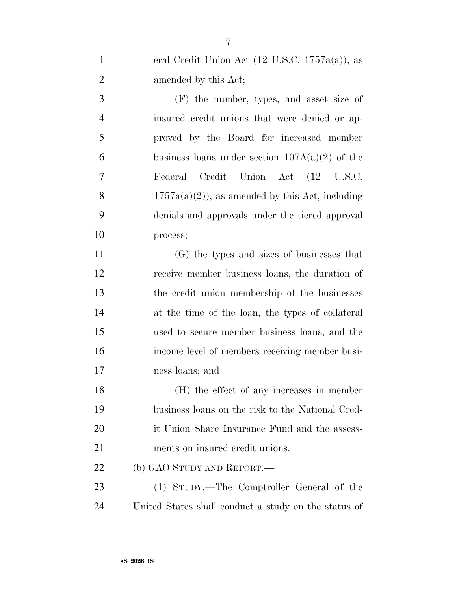| eral Credit Union Act $(12 \text{ U.S.C. } 1757a(a))$ , as |
|------------------------------------------------------------|
| amended by this Act;                                       |

 (F) the number, types, and asset size of insured credit unions that were denied or ap- proved by the Board for increased member 6 business loans under section  $107A(a)(2)$  of the Federal Credit Union Act (12 U.S.C. 8 1757a(a)(2)), as amended by this Act, including denials and approvals under the tiered approval process;

 (G) the types and sizes of businesses that receive member business loans, the duration of the credit union membership of the businesses at the time of the loan, the types of collateral used to secure member business loans, and the income level of members receiving member busi-ness loans; and

 (H) the effect of any increases in member business loans on the risk to the National Cred- it Union Share Insurance Fund and the assess-ments on insured credit unions.

22 (b) GAO STUDY AND REPORT.—

 (1) STUDY.—The Comptroller General of the United States shall conduct a study on the status of